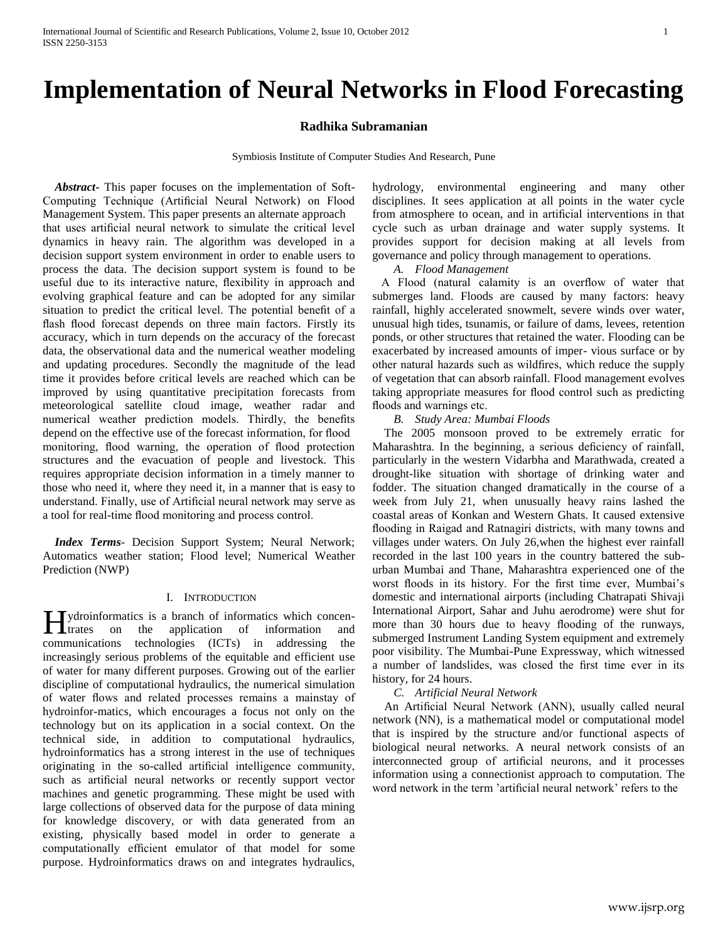# **Implementation of Neural Networks in Flood Forecasting**

## **Radhika Subramanian**

Symbiosis Institute of Computer Studies And Research, Pune

 *Abstract***-** This paper focuses on the implementation of Soft-Computing Technique (Artificial Neural Network) on Flood Management System. This paper presents an alternate approach that uses artificial neural network to simulate the critical level dynamics in heavy rain. The algorithm was developed in a decision support system environment in order to enable users to process the data. The decision support system is found to be useful due to its interactive nature, flexibility in approach and evolving graphical feature and can be adopted for any similar situation to predict the critical level. The potential benefit of a flash flood forecast depends on three main factors. Firstly its accuracy, which in turn depends on the accuracy of the forecast data, the observational data and the numerical weather modeling and updating procedures. Secondly the magnitude of the lead time it provides before critical levels are reached which can be improved by using quantitative precipitation forecasts from meteorological satellite cloud image, weather radar and numerical weather prediction models. Thirdly, the benefits depend on the effective use of the forecast information, for flood monitoring, flood warning, the operation of flood protection structures and the evacuation of people and livestock. This requires appropriate decision information in a timely manner to those who need it, where they need it, in a manner that is easy to understand. Finally, use of Artificial neural network may serve as a tool for real-time flood monitoring and process control.

 *Index Terms*- Decision Support System; Neural Network; Automatics weather station; Flood level; Numerical Weather Prediction (NWP)

### I. INTRODUCTION

ydroinformatics is a branch of informatics which concen-Hydroinformatics is a branch of informatics which concentrates on the application of information and communications technologies (ICTs) in addressing the increasingly serious problems of the equitable and efficient use of water for many different purposes. Growing out of the earlier discipline of computational hydraulics, the numerical simulation of water flows and related processes remains a mainstay of hydroinfor-matics, which encourages a focus not only on the technology but on its application in a social context. On the technical side, in addition to computational hydraulics, hydroinformatics has a strong interest in the use of techniques originating in the so-called artificial intelligence community, such as artificial neural networks or recently support vector machines and genetic programming. These might be used with large collections of observed data for the purpose of data mining for knowledge discovery, or with data generated from an existing, physically based model in order to generate a computationally efficient emulator of that model for some purpose. Hydroinformatics draws on and integrates hydraulics,

hydrology, environmental engineering and many other disciplines. It sees application at all points in the water cycle from atmosphere to ocean, and in artificial interventions in that cycle such as urban drainage and water supply systems. It provides support for decision making at all levels from governance and policy through management to operations.

*A. Flood Management*

 A Flood (natural calamity is an overflow of water that submerges land. Floods are caused by many factors: heavy rainfall, highly accelerated snowmelt, severe winds over water, unusual high tides, tsunamis, or failure of dams, levees, retention ponds, or other structures that retained the water. Flooding can be exacerbated by increased amounts of imper- vious surface or by other natural hazards such as wildfires, which reduce the supply of vegetation that can absorb rainfall. Flood management evolves taking appropriate measures for flood control such as predicting floods and warnings etc.

*B. Study Area: Mumbai Floods*

 The 2005 monsoon proved to be extremely erratic for Maharashtra. In the beginning, a serious deficiency of rainfall, particularly in the western Vidarbha and Marathwada, created a drought-like situation with shortage of drinking water and fodder. The situation changed dramatically in the course of a week from July 21, when unusually heavy rains lashed the coastal areas of Konkan and Western Ghats. It caused extensive flooding in Raigad and Ratnagiri districts, with many towns and villages under waters. On July 26,when the highest ever rainfall recorded in the last 100 years in the country battered the suburban Mumbai and Thane, Maharashtra experienced one of the worst floods in its history. For the first time ever, Mumbai's domestic and international airports (including Chatrapati Shivaji International Airport, Sahar and Juhu aerodrome) were shut for more than 30 hours due to heavy flooding of the runways, submerged Instrument Landing System equipment and extremely poor visibility. The Mumbai-Pune Expressway, which witnessed a number of landslides, was closed the first time ever in its history, for 24 hours.

## *C. Artificial Neural Network*

 An Artificial Neural Network (ANN), usually called neural network (NN), is a mathematical model or computational model that is inspired by the structure and/or functional aspects of biological neural networks. A neural network consists of an interconnected group of artificial neurons, and it processes information using a connectionist approach to computation. The word network in the term 'artificial neural network' refers to the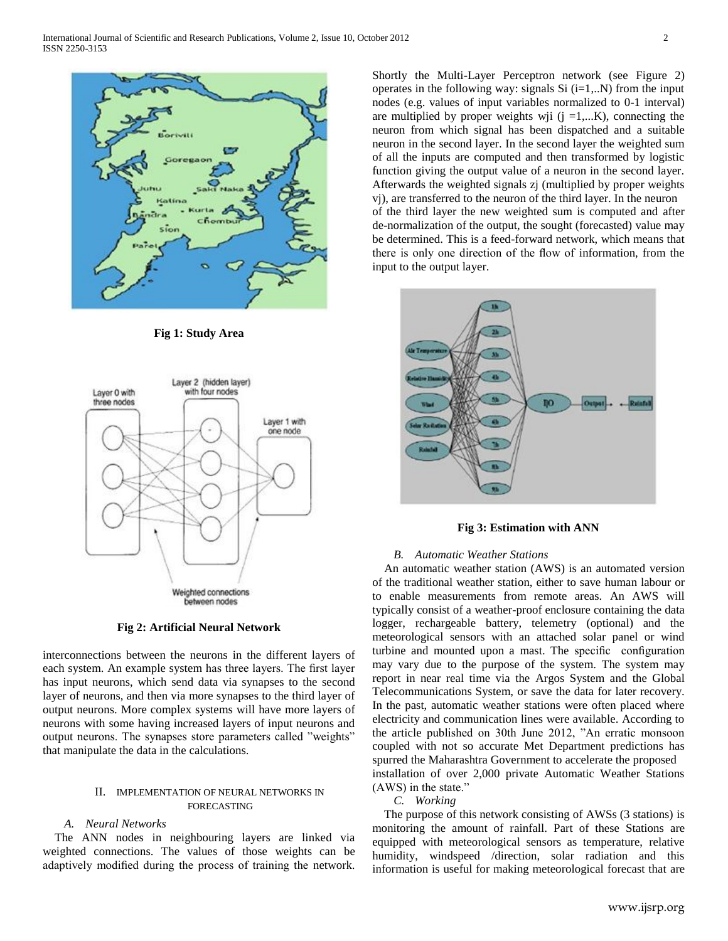

**Fig 1: Study Area**



# **Fig 2: Artificial Neural Network**

interconnections between the neurons in the different layers of each system. An example system has three layers. The first layer has input neurons, which send data via synapses to the second layer of neurons, and then via more synapses to the third layer of output neurons. More complex systems will have more layers of neurons with some having increased layers of input neurons and output neurons. The synapses store parameters called "weights" that manipulate the data in the calculations.

## II. IMPLEMENTATION OF NEURAL NETWORKS IN FORECASTING

## *A. Neural Networks*

 The ANN nodes in neighbouring layers are linked via weighted connections. The values of those weights can be adaptively modified during the process of training the network.

Shortly the Multi-Layer Perceptron network (see Figure 2) operates in the following way: signals Si  $(i=1,...N)$  from the input nodes (e.g. values of input variables normalized to 0-1 interval) are multiplied by proper weights wji  $(j = 1,...K)$ , connecting the neuron from which signal has been dispatched and a suitable neuron in the second layer. In the second layer the weighted sum of all the inputs are computed and then transformed by logistic function giving the output value of a neuron in the second layer. Afterwards the weighted signals zj (multiplied by proper weights vj), are transferred to the neuron of the third layer. In the neuron of the third layer the new weighted sum is computed and after de-normalization of the output, the sought (forecasted) value may be determined. This is a feed-forward network, which means that there is only one direction of the flow of information, from the input to the output layer.



**Fig 3: Estimation with ANN**

## *B. Automatic Weather Stations*

 An automatic weather station (AWS) is an automated version of the traditional weather station, either to save human labour or to enable measurements from remote areas. An AWS will typically consist of a weather-proof enclosure containing the data logger, rechargeable battery, telemetry (optional) and the meteorological sensors with an attached solar panel or wind turbine and mounted upon a mast. The specific configuration may vary due to the purpose of the system. The system may report in near real time via the Argos System and the Global Telecommunications System, or save the data for later recovery. In the past, automatic weather stations were often placed where electricity and communication lines were available. According to the article published on 30th June 2012, "An erratic monsoon coupled with not so accurate Met Department predictions has spurred the Maharashtra Government to accelerate the proposed installation of over 2,000 private Automatic Weather Stations (AWS) in the state."

# *C. Working*

 The purpose of this network consisting of AWSs (3 stations) is monitoring the amount of rainfall. Part of these Stations are equipped with meteorological sensors as temperature, relative humidity, windspeed /direction, solar radiation and this information is useful for making meteorological forecast that are